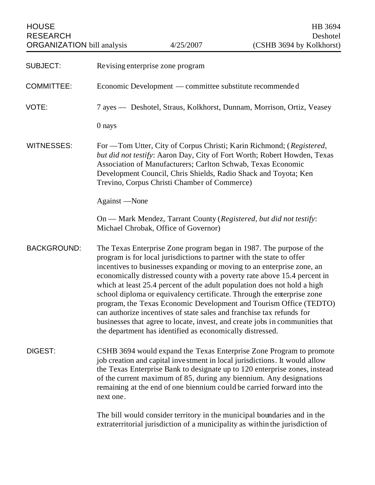| <b>ORGANIZATION</b> bill analysis | 4/25/2007 | (CSHB 3694 by Kolkhorst) |
|-----------------------------------|-----------|--------------------------|
| RESEARCH                          |           | Deshotel                 |
| <b>HOUSE</b>                      |           | HB 3694                  |

| <b>SUBJECT:</b>    | Revising enterprise zone program                                                                                                                                                                                                                                                                                                                                                                                                                                                                                                                                                                                                                                                                                                                     |
|--------------------|------------------------------------------------------------------------------------------------------------------------------------------------------------------------------------------------------------------------------------------------------------------------------------------------------------------------------------------------------------------------------------------------------------------------------------------------------------------------------------------------------------------------------------------------------------------------------------------------------------------------------------------------------------------------------------------------------------------------------------------------------|
| <b>COMMITTEE:</b>  | Economic Development — committee substitute recommended                                                                                                                                                                                                                                                                                                                                                                                                                                                                                                                                                                                                                                                                                              |
| VOTE:              | 7 ayes — Deshotel, Straus, Kolkhorst, Dunnam, Morrison, Ortiz, Veasey                                                                                                                                                                                                                                                                                                                                                                                                                                                                                                                                                                                                                                                                                |
|                    | $0$ nays                                                                                                                                                                                                                                                                                                                                                                                                                                                                                                                                                                                                                                                                                                                                             |
| <b>WITNESSES:</b>  | For — Tom Utter, City of Corpus Christi; Karin Richmond; (Registered,<br>but did not testify: Aaron Day, City of Fort Worth; Robert Howden, Texas<br>Association of Manufacturers; Carlton Schwab, Texas Economic<br>Development Council, Chris Shields, Radio Shack and Toyota; Ken<br>Trevino, Corpus Christi Chamber of Commerce)                                                                                                                                                                                                                                                                                                                                                                                                                 |
|                    | Against —None                                                                                                                                                                                                                                                                                                                                                                                                                                                                                                                                                                                                                                                                                                                                        |
|                    | On — Mark Mendez, Tarrant County (Registered, but did not testify:<br>Michael Chrobak, Office of Governor)                                                                                                                                                                                                                                                                                                                                                                                                                                                                                                                                                                                                                                           |
| <b>BACKGROUND:</b> | The Texas Enterprise Zone program began in 1987. The purpose of the<br>program is for local jurisdictions to partner with the state to offer<br>incentives to businesses expanding or moving to an enterprise zone, an<br>economically distressed county with a poverty rate above 15.4 percent in<br>which at least 25.4 percent of the adult population does not hold a high<br>school diploma or equivalency certificate. Through the enterprise zone<br>program, the Texas Economic Development and Tourism Office (TEDTO)<br>can authorize incentives of state sales and franchise tax refunds for<br>businesses that agree to locate, invest, and create jobs in communities that<br>the department has identified as economically distressed. |
| DIGEST:            | CSHB 3694 would expand the Texas Enterprise Zone Program to promote<br>job creation and capital investment in local jurisdictions. It would allow<br>the Texas Enterprise Bank to designate up to 120 enterprise zones, instead<br>of the current maximum of 85, during any biennium. Any designations<br>remaining at the end of one biennium could be carried forward into the<br>next one.                                                                                                                                                                                                                                                                                                                                                        |
|                    | The bill would consider territory in the municipal boundaries and in the<br>extraterritorial jurisdiction of a municipality as within the jurisdiction of                                                                                                                                                                                                                                                                                                                                                                                                                                                                                                                                                                                            |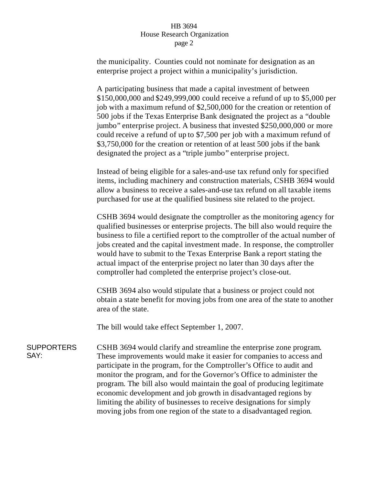## HB 3694 House Research Organization page 2

the municipality. Counties could not nominate for designation as an enterprise project a project within a municipality's jurisdiction.

A participating business that made a capital investment of between \$150,000,000 and \$249,999,000 could receive a refund of up to \$5,000 per job with a maximum refund of \$2,500,000 for the creation or retention of 500 jobs if the Texas Enterprise Bank designated the project as a "double jumbo" enterprise project. A business that invested \$250,000,000 or more could receive a refund of up to \$7,500 per job with a maximum refund of \$3,750,000 for the creation or retention of at least 500 jobs if the bank designated the project as a "triple jumbo" enterprise project.

Instead of being eligible for a sales-and-use tax refund only for specified items, including machinery and construction materials, CSHB 3694 would allow a business to receive a sales-and-use tax refund on all taxable items purchased for use at the qualified business site related to the project.

CSHB 3694 would designate the comptroller as the monitoring agency for qualified businesses or enterprise projects. The bill also would require the business to file a certified report to the comptroller of the actual number of jobs created and the capital investment made. In response, the comptroller would have to submit to the Texas Enterprise Bank a report stating the actual impact of the enterprise project no later than 30 days after the comptroller had completed the enterprise project's close-out.

CSHB 3694 also would stipulate that a business or project could not obtain a state benefit for moving jobs from one area of the state to another area of the state.

The bill would take effect September 1, 2007.

**SUPPORTERS** SAY: CSHB 3694 would clarify and streamline the enterprise zone program. These improvements would make it easier for companies to access and participate in the program, for the Comptroller's Office to audit and monitor the program, and for the Governor's Office to administer the program. The bill also would maintain the goal of producing legitimate economic development and job growth in disadvantaged regions by limiting the ability of businesses to receive designations for simply moving jobs from one region of the state to a disadvantaged region.